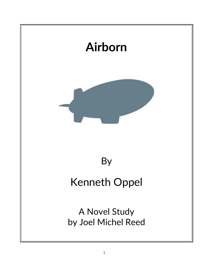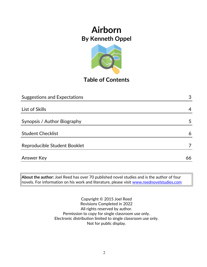

## **Table of Contents**

| <b>Suggestions and Expectations</b> | 3  |
|-------------------------------------|----|
|                                     |    |
| List of Skills                      | 4  |
|                                     |    |
| Synopsis / Author Biography         | 5  |
|                                     |    |
| <b>Student Checklist</b>            | 6  |
|                                     |    |
| Reproducible Student Booklet        | 7  |
|                                     |    |
| <b>Answer Key</b>                   | 66 |

**About the author:** Joel Reed has over 70 published novel studies and is the author of four  $|$ novels. For information on his work and literature, please visit  $\overline{\color{red}$  [www.reednovelstudies.com](http://www.reednovelstudies.com/)

> Copyright © 2015 Joel Reed Revisions Completed in 2022 All rights reserved by author. Permission to copy for single classroom use only. Electronic distribution limited to single classroom use only. Not for public display.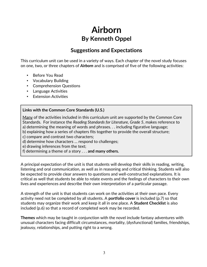## **Suggestions and Expectations**

This curriculum unit can be used in a variety of ways. Each chapter of the novel study focuses on one, two, or three chapters of *Airborn* and is comprised of five of the following activities:

- Before You Read
- Vocabulary Building
- Comprehension Questions
- Language Activities
- Extension Activities

#### **Links with the Common Core Standards (U.S.)**

Many of the activities included in this curriculum unit are supported by the Common Core Standards. For instance the *Reading Standards for Literature, Grade 5*, makes reference to a) determining the meaning of words and phrases. . . including figurative language;

- b) explaining how a series of chapters fits together to provide the overall structure;
- c) compare and contrast two characters;
- d) determine how characters … respond to challenges;
- e) drawing inferences from the text;
- f) determining a theme of a story . . . **and many others.**

A principal expectation of the unit is that students will develop their skills in reading, writing, listening and oral communication, as well as in reasoning and critical thinking. Students will also be expected to provide clear answers to questions and well-constructed explanations. It is critical as well that students be able to relate events and the feelings of characters to their own lives and experiences and describe their own interpretation of a particular passage.

A strength of the unit is that students can work on the activities at their own pace. Every activity need not be completed by all students. A **portfolio cover** is included (p.7) so that students may organize their work and keep it all in one place. A **Student Checklist** is also included (p.6) so that a record of completed work may be recorded.

**Themes** which may be taught in conjunction with the novel include fantasy adventures with unusual characters facing difficult circumstances, mortality, (dysfunctional) families, friendships, jealousy, relationships, and putting right to a wrong.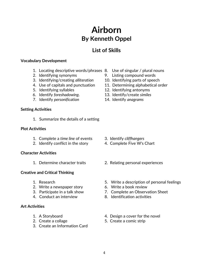## **List of Skills**

#### **Vocabulary Development**

- 1. Locating descriptive words/phrases 8. Use of singular / plural nouns
- 
- 3. Identifying/creating *alliteration* 10. Identifying parts of speech
- 
- 
- 
- 7. Identify *personification* 14. Identify *anagrams*

#### **Setting Activities**

1. Summarize the details of a setting

#### **Plot Activities**

- 1. Complete a *time line* of events 3. Identify *cliffhangers*
- 2. Identify conflict in the story 4. Complete Five W's Chart

#### **Character Activities**

#### **Creative and Critical Thinking**

- 
- 2. Write a newspaper story 6. Write a book review
- 
- 

#### **Art Activities**

- 
- 
- 3. Create an Information Card
- 
- 2. Identifying synonyms 9. Listing compound words
	-
- 4. Use of capitals and punctuation 11. Determining alphabetical order
- 5. Identifying syllables 12. Identifying antonyms
- 6. Identify *foreshadowing*. 13. Identify/create *similes*
	-

- 
- 
- 1. Determine character traits 2. Relating personal experiences
- 1. Research 5. Write a description of personal feelings
	-
- 3. Participate in a talk show 7. Complete an Observation Sheet
- 4. Conduct an interview 8. Identification activities
- 1. A Storyboard **1.** A Storyboard **1.** A Storyboard **1.** A Storyboard **1.** A Storyboard **1.** A Storyboard **1.** A Storyboard **1.** A Storyboard **1.** A Storyboard **1.** A Storyboard **1.** A Storyboard **1.** A Storyboard **1.** A S
- 2. Create a collage 5. Create a comic strip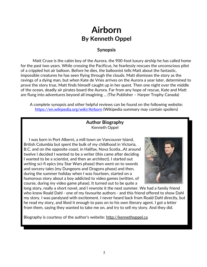#### **Synopsis**

Matt Cruse is the cabin boy of the Aurora, the 900-foot luxury airship he has called home for the past two years. While crossing the Pacificus, he fearlessly rescues the unconscious pilot of a crippled hot air balloon. Before he dies, the balloonist tells Matt about the fantastic, impossible creatures he has seen flying through the clouds. Matt dismisses the story as the ravings of a dying man, but when Kate de Vries arrives on the Aurora a year later, determined to prove the story true, Matt finds himself caught up in her quest. Then one night over the middle of the ocean, deadly air pirates board the Aurora. Far from any hope of rescue, Kate and Matt are flung into adventures beyond all imagining ... (The Publisher – Harper Trophy Canada)

A complete synopsis and other helpful reviews can be found on the following website: <https://en.wikipedia.org/wiki/Airborn>(Wikipedia summary may contain spoilers)

#### **Author Biography** Kenneth Oppel

 I was born in Port Alberni, a mill town on Vancouver Island, British Columbia but spent the bulk of my childhood in Victoria, B.C. and on the opposite coast, in Halifax, Nova Scotia...At around twelve I decided I wanted to be a writer (this came after deciding I wanted to be a scientist, and then an architect). I started out writing sci-fi epics (my Star Wars phase) then went on to swords and sorcery tales (my Dungeons and Dragons phase) and then, during the summer holiday when I was fourteen, started on a humorous story about a boy addicted to video games (written, of course, during my video game phase). It turned out to be quite a



long story, really a short novel, and I rewrote it the next summer. We had a family friend who knew Roald Dahl - one of my favourite authors - and this friend offered to show Dahl my story. I was paralysed with excitement. I never heard back from Roald Dahl directly, but he read my story, and liked it enough to pass on to his own literary agent. I got a letter from them, saying they wanted to take me on, and try to sell my story. And they did.

Biography is courtesy of the author's website: http://kennethoppel.ca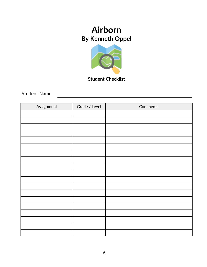

**Student Checklist**

Student Name

| Assignment | Grade / Level | Comments |
|------------|---------------|----------|
|            |               |          |
|            |               |          |
|            |               |          |
|            |               |          |
|            |               |          |
|            |               |          |
|            |               |          |
|            |               |          |
|            |               |          |
|            |               |          |
|            |               |          |
|            |               |          |
|            |               |          |
|            |               |          |
|            |               |          |
|            |               |          |
|            |               |          |
|            |               |          |
|            |               |          |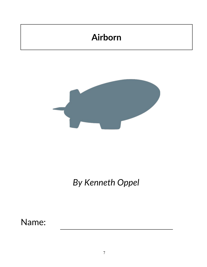# **Airborn**



# *By Kenneth Oppel*

Name: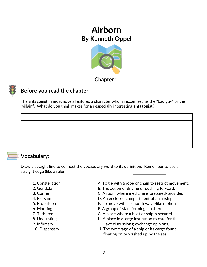

**Chapter 1**



### **Before you read the chapter**:

The **antagonist** in most novels features a character who is recognized as the "bad guy" or the "villain". What do you think makes for an especially interesting **antagonist**?

### **Vocabulary:**

Draw a straight line to connect the vocabulary word to its definition. Remember to use a straight edge (like a ruler).

- 
- 
- 
- 
- 
- 
- 
- 
- 
- 
- 1. Constellation **A. To tie with a rope or chain to restrict movement.**
- 2. Gondola **B. The action of driving or pushing forward.**
- 3. Confer C. A room where medicine is prepared/provided.
- 4. Flotsam **D.** An enclosed compartment of an airship.
- 5. Propulsion E. To move with a smooth wave-like motion.
- 6. Mooring F. A group of stars forming a pattern.
- 7. Tethered G. A place where a boat or ship is secured.
- 8. Undulating **EXECUTE:** H. A place in a large institution to care for the ill.
- 9. Infirmary **I. Have discussions**; exchange opinions.
- 10. Dispensary J. The wreckage of a ship or its cargo found floating on or washed up by the sea.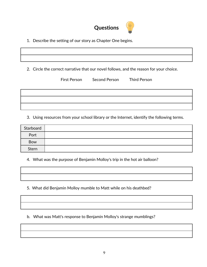

1. Describe the setting of our story as Chapter One begins.

2. Circle the correct narrative that our novel follows, and the reason for your choice.

|  | First Person Second Person Third Person |  |
|--|-----------------------------------------|--|
|  |                                         |  |
|  |                                         |  |
|  |                                         |  |
|  |                                         |  |

3. Using resources from your school library or the Internet, identify the following terms.

| Starboard |  |
|-----------|--|
| Port      |  |
| Bow       |  |
| Stern     |  |

4. What was the purpose of Benjamin Molloy's trip in the hot air balloon?

5. What did Benjamin Molloy mumble to Matt while on his deathbed?

b. What was Matt's response to Benjamin Molloy's strange mumblings?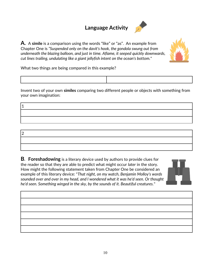## **Language Activity**



**A.** A **simile** is a comparison using the words "like" or "as". An example from Chapter One is *"Suspended only on the davit's hook, the gondola swung out from underneath the blazing balloon, and just in time. Aflame, it seeped quickly downwards, cut lines trailing, undulating like a giant jellyfish intent on the ocean's bottom."*



What two things are being compared in this example?

Invent two of your own **similes** comparing two different people or objects with something from your own imagination:

1  $\overline{2}$ 

**B. Foreshadowing** is a literary device used by authors to provide clues for the reader so that they are able to predict what might occur *later* in the story. How might the following statement taken from Chapter One be considered an example of this literary device: "*That night, on my watch, Benjamin Molloy's words sounded over and over in my head, and I wondered what it was he'd seen. Or thought he'd seen. Something winged in the sky, by the sounds of it. Beautiful creatures.*"

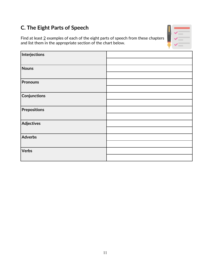## **C. The Eight Parts of Speech**

Find at least  $2$  examples of each of the eight parts of speech from these chapters and list them in the appropriate section of the chart below.

| Interjections     |  |
|-------------------|--|
|                   |  |
| <b>Nouns</b>      |  |
|                   |  |
| <b>Pronouns</b>   |  |
|                   |  |
| Conjunctions      |  |
|                   |  |
| Prepositions      |  |
|                   |  |
| <b>Adjectives</b> |  |
|                   |  |
| Adverbs           |  |
|                   |  |
| Verbs             |  |
|                   |  |